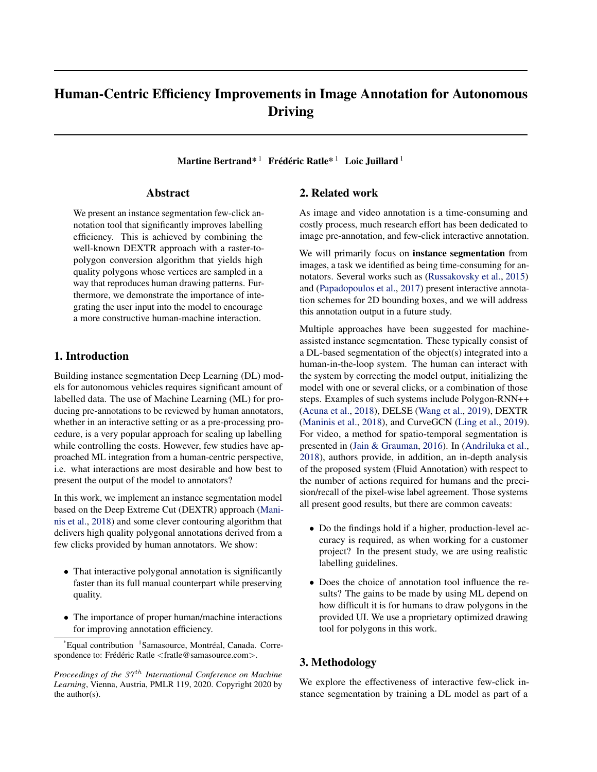# Human-Centric Efficiency Improvements in Image Annotation for Autonomous Driving

Martine Bertrand $^{\text{*} \text{ 1}}$  Frédéric Ratle $^{\text{*} \text{ 1}}$  Loic Juillard  $^{\text{1}}$ 

### Abstract

We present an instance segmentation few-click annotation tool that significantly improves labelling efficiency. This is achieved by combining the well-known DEXTR approach with a raster-topolygon conversion algorithm that yields high quality polygons whose vertices are sampled in a way that reproduces human drawing patterns. Furthermore, we demonstrate the importance of integrating the user input into the model to encourage a more constructive human-machine interaction.

# 1. Introduction

Building instance segmentation Deep Learning (DL) models for autonomous vehicles requires significant amount of labelled data. The use of Machine Learning (ML) for producing pre-annotations to be reviewed by human annotators, whether in an interactive setting or as a pre-processing procedure, is a very popular approach for scaling up labelling while controlling the costs. However, few studies have approached ML integration from a human-centric perspective, i.e. what interactions are most desirable and how best to present the output of the model to annotators?

In this work, we implement an instance segmentation model based on the Deep Extreme Cut (DEXTR) approach [\(Mani](#page-3-0)[nis et al.,](#page-3-0) [2018\)](#page-3-0) and some clever contouring algorithm that delivers high quality polygonal annotations derived from a few clicks provided by human annotators. We show:

- That interactive polygonal annotation is significantly faster than its full manual counterpart while preserving quality.
- The importance of proper human/machine interactions for improving annotation efficiency.

# 2. Related work

As image and video annotation is a time-consuming and costly process, much research effort has been dedicated to image pre-annotation, and few-click interactive annotation.

We will primarily focus on **instance segmentation** from images, a task we identified as being time-consuming for annotators. Several works such as [\(Russakovsky et al.,](#page-3-0) [2015\)](#page-3-0) and [\(Papadopoulos et al.,](#page-3-0) [2017\)](#page-3-0) present interactive annotation schemes for 2D bounding boxes, and we will address this annotation output in a future study.

Multiple approaches have been suggested for machineassisted instance segmentation. These typically consist of a DL-based segmentation of the object(s) integrated into a human-in-the-loop system. The human can interact with the system by correcting the model output, initializing the model with one or several clicks, or a combination of those steps. Examples of such systems include Polygon-RNN++ [\(Acuna et al.,](#page-3-0) [2018\)](#page-3-0), DELSE [\(Wang et al.,](#page-4-0) [2019\)](#page-4-0), DEXTR [\(Maninis et al.,](#page-3-0) [2018\)](#page-3-0), and CurveGCN [\(Ling et al.,](#page-3-0) [2019\)](#page-3-0). For video, a method for spatio-temporal segmentation is presented in [\(Jain & Grauman,](#page-3-0) [2016\)](#page-3-0). In [\(Andriluka et al.,](#page-3-0) [2018\)](#page-3-0), authors provide, in addition, an in-depth analysis of the proposed system (Fluid Annotation) with respect to the number of actions required for humans and the precision/recall of the pixel-wise label agreement. Those systems all present good results, but there are common caveats:

- Do the findings hold if a higher, production-level accuracy is required, as when working for a customer project? In the present study, we are using realistic labelling guidelines.
- Does the choice of annotation tool influence the results? The gains to be made by using ML depend on how difficult it is for humans to draw polygons in the provided UI. We use a proprietary optimized drawing tool for polygons in this work.

# 3. Methodology

We explore the effectiveness of interactive few-click instance segmentation by training a DL model as part of a

<sup>\*</sup>Equal contribution <sup>1</sup>Samasource, Montréal, Canada. Correspondence to: Frédéric Ratle <fratle@samasource.com>.

*Proceedings of the 37<sup>th</sup> International Conference on Machine Learning*, Vienna, Austria, PMLR 119, 2020. Copyright 2020 by the author(s).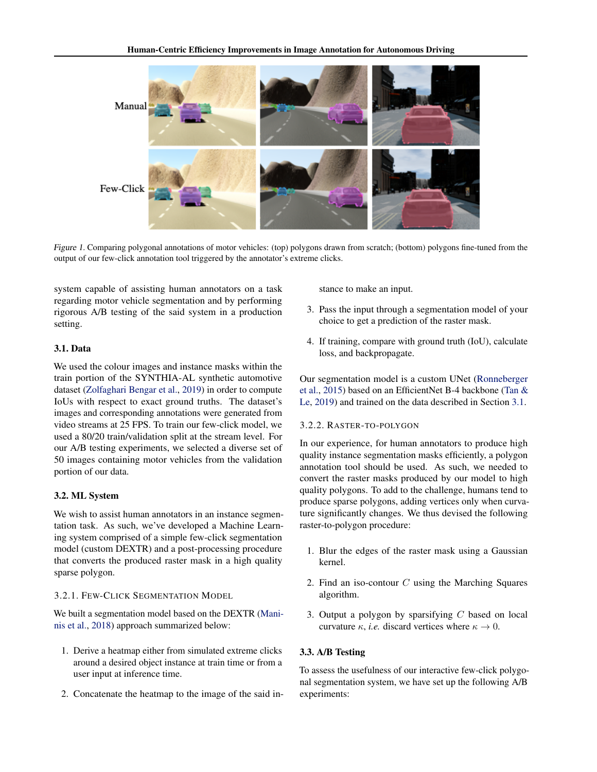

Figure 1. Comparing polygonal annotations of motor vehicles: (top) polygons drawn from scratch; (bottom) polygons fine-tuned from the output of our few-click annotation tool triggered by the annotator's extreme clicks.

system capable of assisting human annotators on a task regarding motor vehicle segmentation and by performing rigorous A/B testing of the said system in a production setting.

### 3.1. Data

We used the colour images and instance masks within the train portion of the SYNTHIA-AL synthetic automotive dataset [\(Zolfaghari Bengar et al.,](#page-4-0) [2019\)](#page-4-0) in order to compute IoUs with respect to exact ground truths. The dataset's images and corresponding annotations were generated from video streams at 25 FPS. To train our few-click model, we used a 80/20 train/validation split at the stream level. For our A/B testing experiments, we selected a diverse set of 50 images containing motor vehicles from the validation portion of our data.

### 3.2. ML System

We wish to assist human annotators in an instance segmentation task. As such, we've developed a Machine Learning system comprised of a simple few-click segmentation model (custom DEXTR) and a post-processing procedure that converts the produced raster mask in a high quality sparse polygon.

# 3.2.1. FEW-CLICK SEGMENTATION MODEL

We built a segmentation model based on the DEXTR [\(Mani](#page-3-0)[nis et al.,](#page-3-0) [2018\)](#page-3-0) approach summarized below:

- 1. Derive a heatmap either from simulated extreme clicks around a desired object instance at train time or from a user input at inference time.
- 2. Concatenate the heatmap to the image of the said in-

stance to make an input.

- 3. Pass the input through a segmentation model of your choice to get a prediction of the raster mask.
- 4. If training, compare with ground truth (IoU), calculate loss, and backpropagate.

Our segmentation model is a custom UNet [\(Ronneberger](#page-3-0) [et al.,](#page-3-0) [2015\)](#page-3-0) based on an EfficientNet B-4 backbone [\(Tan &](#page-4-0) [Le,](#page-4-0) [2019\)](#page-4-0) and trained on the data described in Section 3.1.

#### 3.2.2. RASTER-TO-POLYGON

In our experience, for human annotators to produce high quality instance segmentation masks efficiently, a polygon annotation tool should be used. As such, we needed to convert the raster masks produced by our model to high quality polygons. To add to the challenge, humans tend to produce sparse polygons, adding vertices only when curvature significantly changes. We thus devised the following raster-to-polygon procedure:

- 1. Blur the edges of the raster mask using a Gaussian kernel.
- 2. Find an iso-contour  $C$  using the Marching Squares algorithm.
- 3. Output a polygon by sparsifying  $C$  based on local curvature  $\kappa$ , *i.e.* discard vertices where  $\kappa \to 0$ .

### 3.3. A/B Testing

To assess the usefulness of our interactive few-click polygonal segmentation system, we have set up the following A/B experiments: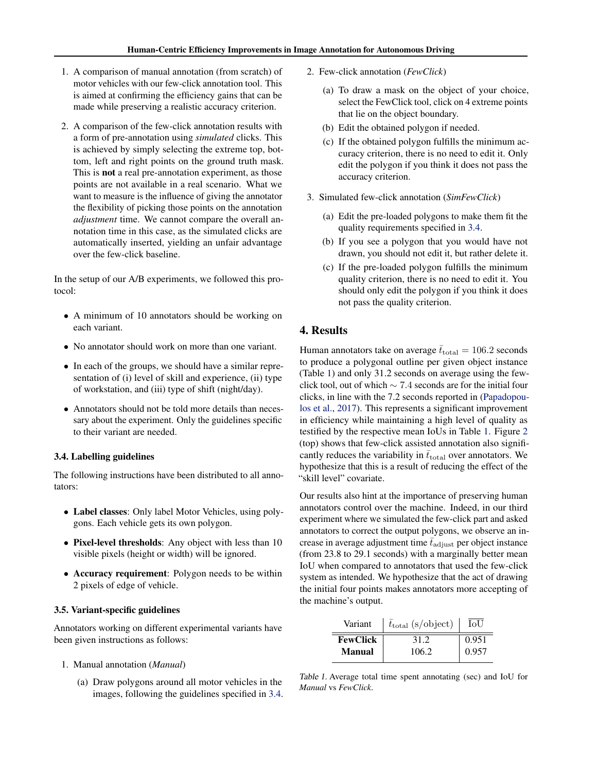- 1. A comparison of manual annotation (from scratch) of motor vehicles with our few-click annotation tool. This is aimed at confirming the efficiency gains that can be made while preserving a realistic accuracy criterion.
- 2. A comparison of the few-click annotation results with a form of pre-annotation using *simulated* clicks. This is achieved by simply selecting the extreme top, bottom, left and right points on the ground truth mask. This is not a real pre-annotation experiment, as those points are not available in a real scenario. What we want to measure is the influence of giving the annotator the flexibility of picking those points on the annotation *adjustment* time. We cannot compare the overall annotation time in this case, as the simulated clicks are automatically inserted, yielding an unfair advantage over the few-click baseline.

In the setup of our A/B experiments, we followed this protocol:

- A minimum of 10 annotators should be working on each variant.
- No annotator should work on more than one variant.
- In each of the groups, we should have a similar representation of (i) level of skill and experience, (ii) type of workstation, and (iii) type of shift (night/day).
- Annotators should not be told more details than necessary about the experiment. Only the guidelines specific to their variant are needed.

### 3.4. Labelling guidelines

The following instructions have been distributed to all annotators:

- Label classes: Only label Motor Vehicles, using polygons. Each vehicle gets its own polygon.
- Pixel-level thresholds: Any object with less than 10 visible pixels (height or width) will be ignored.
- Accuracy requirement: Polygon needs to be within 2 pixels of edge of vehicle.

#### 3.5. Variant-specific guidelines

Annotators working on different experimental variants have been given instructions as follows:

- 1. Manual annotation (*Manual*)
	- (a) Draw polygons around all motor vehicles in the images, following the guidelines specified in 3.4.
- 2. Few-click annotation (*FewClick*)
	- (a) To draw a mask on the object of your choice, select the FewClick tool, click on 4 extreme points that lie on the object boundary.
	- (b) Edit the obtained polygon if needed.
	- (c) If the obtained polygon fulfills the minimum accuracy criterion, there is no need to edit it. Only edit the polygon if you think it does not pass the accuracy criterion.
- 3. Simulated few-click annotation (*SimFewClick*)
	- (a) Edit the pre-loaded polygons to make them fit the quality requirements specified in 3.4.
	- (b) If you see a polygon that you would have not drawn, you should not edit it, but rather delete it.
	- (c) If the pre-loaded polygon fulfills the minimum quality criterion, there is no need to edit it. You should only edit the polygon if you think it does not pass the quality criterion.

### 4. Results

Human annotators take on average  $\bar{t}_{\text{total}} = 106.2$  seconds to produce a polygonal outline per given object instance (Table 1) and only 31.2 seconds on average using the fewclick tool, out of which ∼ 7.4 seconds are for the initial four clicks, in line with the 7.2 seconds reported in [\(Papadopou](#page-3-0)[los et al.,](#page-3-0) [2017\)](#page-3-0). This represents a significant improvement in efficiency while maintaining a high level of quality as testified by the respective mean IoUs in Table 1. Figure [2](#page-3-0) (top) shows that few-click assisted annotation also significantly reduces the variability in  $\bar{t}_{total}$  over annotators. We hypothesize that this is a result of reducing the effect of the "skill level" covariate.

Our results also hint at the importance of preserving human annotators control over the machine. Indeed, in our third experiment where we simulated the few-click part and asked annotators to correct the output polygons, we observe an increase in average adjustment time  $\bar{t}_{\text{adiust}}$  per object instance (from 23.8 to 29.1 seconds) with a marginally better mean IoU when compared to annotators that used the few-click system as intended. We hypothesize that the act of drawing the initial four points makes annotators more accepting of the machine's output.

| Variant         | $\bar{t}_{\text{total}}$ (s/object) | LoU   |
|-----------------|-------------------------------------|-------|
| <b>FewClick</b> | 31.2                                | 0.951 |
| <b>Manual</b>   | 106.2                               | 0.957 |

Table 1. Average total time spent annotating (sec) and IoU for *Manual* vs *FewClick*.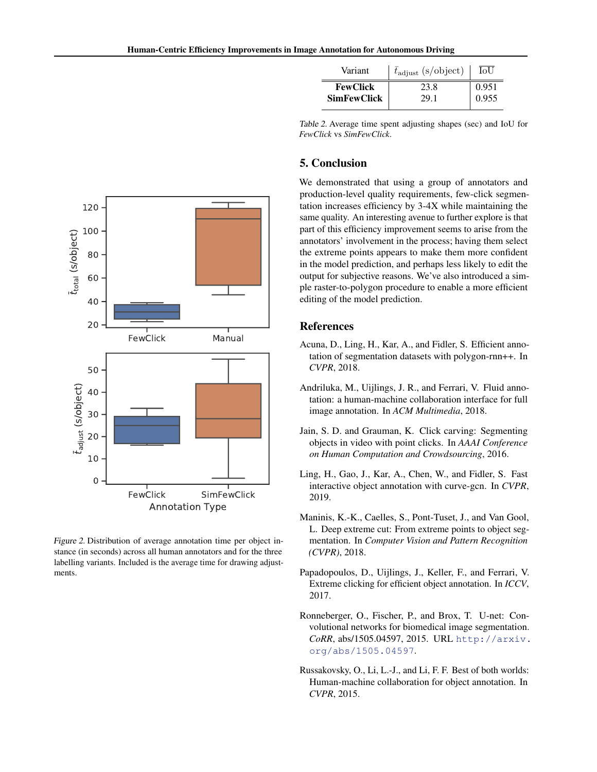| Variant            | $t_{\text{adjust}}$ (s/object) | IoU   |
|--------------------|--------------------------------|-------|
| <b>FewClick</b>    | 23.8                           | 0.951 |
| <b>SimFewClick</b> | 29.1                           | 0.955 |

Table 2. Average time spent adjusting shapes (sec) and IoU for *FewClick* vs *SimFewClick*.

# 5. Conclusion

We demonstrated that using a group of annotators and production-level quality requirements, few-click segmentation increases efficiency by 3-4X while maintaining the same quality. An interesting avenue to further explore is that part of this efficiency improvement seems to arise from the annotators' involvement in the process; having them select the extreme points appears to make them more confident in the model prediction, and perhaps less likely to edit the output for subjective reasons. We've also introduced a simple raster-to-polygon procedure to enable a more efficient editing of the model prediction.

### References

- Acuna, D., Ling, H., Kar, A., and Fidler, S. Efficient annotation of segmentation datasets with polygon-rnn++. In *CVPR*, 2018.
- Andriluka, M., Uijlings, J. R., and Ferrari, V. Fluid annotation: a human-machine collaboration interface for full image annotation. In *ACM Multimedia*, 2018.
- Jain, S. D. and Grauman, K. Click carving: Segmenting objects in video with point clicks. In *AAAI Conference on Human Computation and Crowdsourcing*, 2016.
- Ling, H., Gao, J., Kar, A., Chen, W., and Fidler, S. Fast interactive object annotation with curve-gcn. In *CVPR*, 2019.
- Maninis, K.-K., Caelles, S., Pont-Tuset, J., and Van Gool, L. Deep extreme cut: From extreme points to object segmentation. In *Computer Vision and Pattern Recognition (CVPR)*, 2018.
- Papadopoulos, D., Uijlings, J., Keller, F., and Ferrari, V. Extreme clicking for efficient object annotation. In *ICCV*, 2017.
- Ronneberger, O., Fischer, P., and Brox, T. U-net: Convolutional networks for biomedical image segmentation. *CoRR*, abs/1505.04597, 2015. URL [http://arxiv.](http://arxiv.org/abs/1505.04597) [org/abs/1505.04597](http://arxiv.org/abs/1505.04597).
- Russakovsky, O., Li, L.-J., and Li, F. F. Best of both worlds: Human-machine collaboration for object annotation. In *CVPR*, 2015.

<span id="page-3-0"></span>

Figure 2. Distribution of average annotation time per object instance (in seconds) across all human annotators and for the three labelling variants. Included is the average time for drawing adjustments.